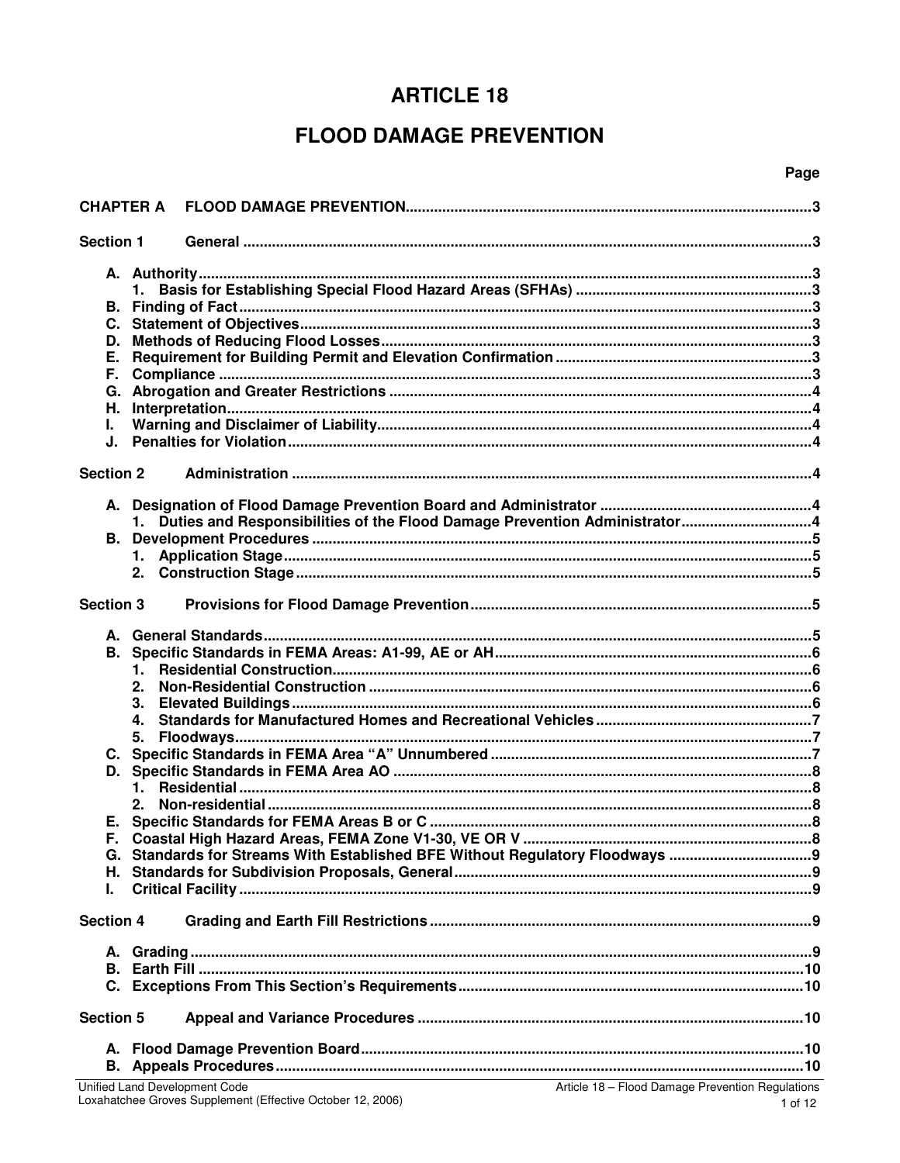# **ARTICLE 18**

# **FLOOD DAMAGE PREVENTION**

## Page

| <b>CHAPTER A</b>                      |                |                                                                              |  |  |
|---------------------------------------|----------------|------------------------------------------------------------------------------|--|--|
| <b>Section 1</b>                      |                |                                                                              |  |  |
| C.<br>D.<br>Е.<br>F.<br>Н.<br>L<br>J. |                |                                                                              |  |  |
| <b>Section 2</b>                      |                |                                                                              |  |  |
|                                       |                | 1. Duties and Responsibilities of the Flood Damage Prevention Administrator4 |  |  |
| <b>Section 3</b>                      |                |                                                                              |  |  |
|                                       | 1.<br>2.<br>4. |                                                                              |  |  |
|                                       | 5.<br>1.<br>2. |                                                                              |  |  |
| Е.<br>Е.<br>I.                        |                | G. Standards for Streams With Established BFE Without Regulatory Floodways   |  |  |
| <b>Section 4</b>                      |                |                                                                              |  |  |
|                                       |                |                                                                              |  |  |
| <b>Section 5</b>                      |                |                                                                              |  |  |
| А.                                    |                |                                                                              |  |  |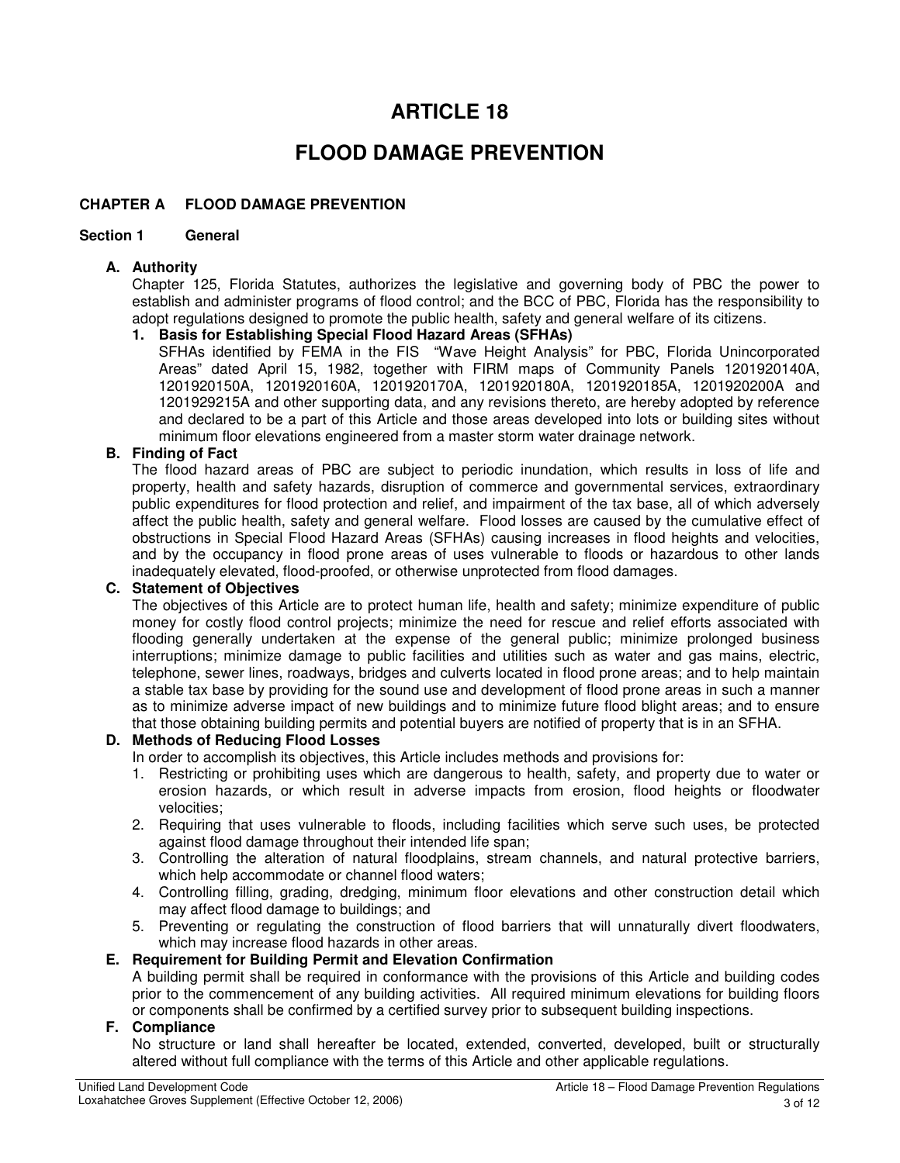# **ARTICLE 18**

# **FLOOD DAMAGE PREVENTION**

## **CHAPTER A FLOOD DAMAGE PREVENTION**

#### **Section 1 General**

#### **A. Authority**

Chapter 125, Florida Statutes, authorizes the legislative and governing body of PBC the power to establish and administer programs of flood control; and the BCC of PBC, Florida has the responsibility to adopt regulations designed to promote the public health, safety and general welfare of its citizens.

#### **1. Basis for Establishing Special Flood Hazard Areas (SFHAs)**

SFHAs identified by FEMA in the FIS "Wave Height Analysis" for PBC, Florida Unincorporated Areas" dated April 15, 1982, together with FIRM maps of Community Panels 1201920140A, 1201920150A, 1201920160A, 1201920170A, 1201920180A, 1201920185A, 1201920200A and 1201929215A and other supporting data, and any revisions thereto, are hereby adopted by reference and declared to be a part of this Article and those areas developed into lots or building sites without minimum floor elevations engineered from a master storm water drainage network.

# **B. Finding of Fact**

The flood hazard areas of PBC are subject to periodic inundation, which results in loss of life and property, health and safety hazards, disruption of commerce and governmental services, extraordinary public expenditures for flood protection and relief, and impairment of the tax base, all of which adversely affect the public health, safety and general welfare. Flood losses are caused by the cumulative effect of obstructions in Special Flood Hazard Areas (SFHAs) causing increases in flood heights and velocities, and by the occupancy in flood prone areas of uses vulnerable to floods or hazardous to other lands inadequately elevated, flood-proofed, or otherwise unprotected from flood damages.

#### **C. Statement of Objectives**

The objectives of this Article are to protect human life, health and safety; minimize expenditure of public money for costly flood control projects; minimize the need for rescue and relief efforts associated with flooding generally undertaken at the expense of the general public; minimize prolonged business interruptions; minimize damage to public facilities and utilities such as water and gas mains, electric, telephone, sewer lines, roadways, bridges and culverts located in flood prone areas; and to help maintain a stable tax base by providing for the sound use and development of flood prone areas in such a manner as to minimize adverse impact of new buildings and to minimize future flood blight areas; and to ensure that those obtaining building permits and potential buyers are notified of property that is in an SFHA.

#### **D. Methods of Reducing Flood Losses**

In order to accomplish its objectives, this Article includes methods and provisions for:

- 1. Restricting or prohibiting uses which are dangerous to health, safety, and property due to water or erosion hazards, or which result in adverse impacts from erosion, flood heights or floodwater velocities;
- 2. Requiring that uses vulnerable to floods, including facilities which serve such uses, be protected against flood damage throughout their intended life span;
- 3. Controlling the alteration of natural floodplains, stream channels, and natural protective barriers, which help accommodate or channel flood waters;
- 4. Controlling filling, grading, dredging, minimum floor elevations and other construction detail which may affect flood damage to buildings; and
- 5. Preventing or regulating the construction of flood barriers that will unnaturally divert floodwaters, which may increase flood hazards in other areas.

#### **E. Requirement for Building Permit and Elevation Confirmation**

A building permit shall be required in conformance with the provisions of this Article and building codes prior to the commencement of any building activities. All required minimum elevations for building floors or components shall be confirmed by a certified survey prior to subsequent building inspections.

## **F. Compliance**

No structure or land shall hereafter be located, extended, converted, developed, built or structurally altered without full compliance with the terms of this Article and other applicable regulations.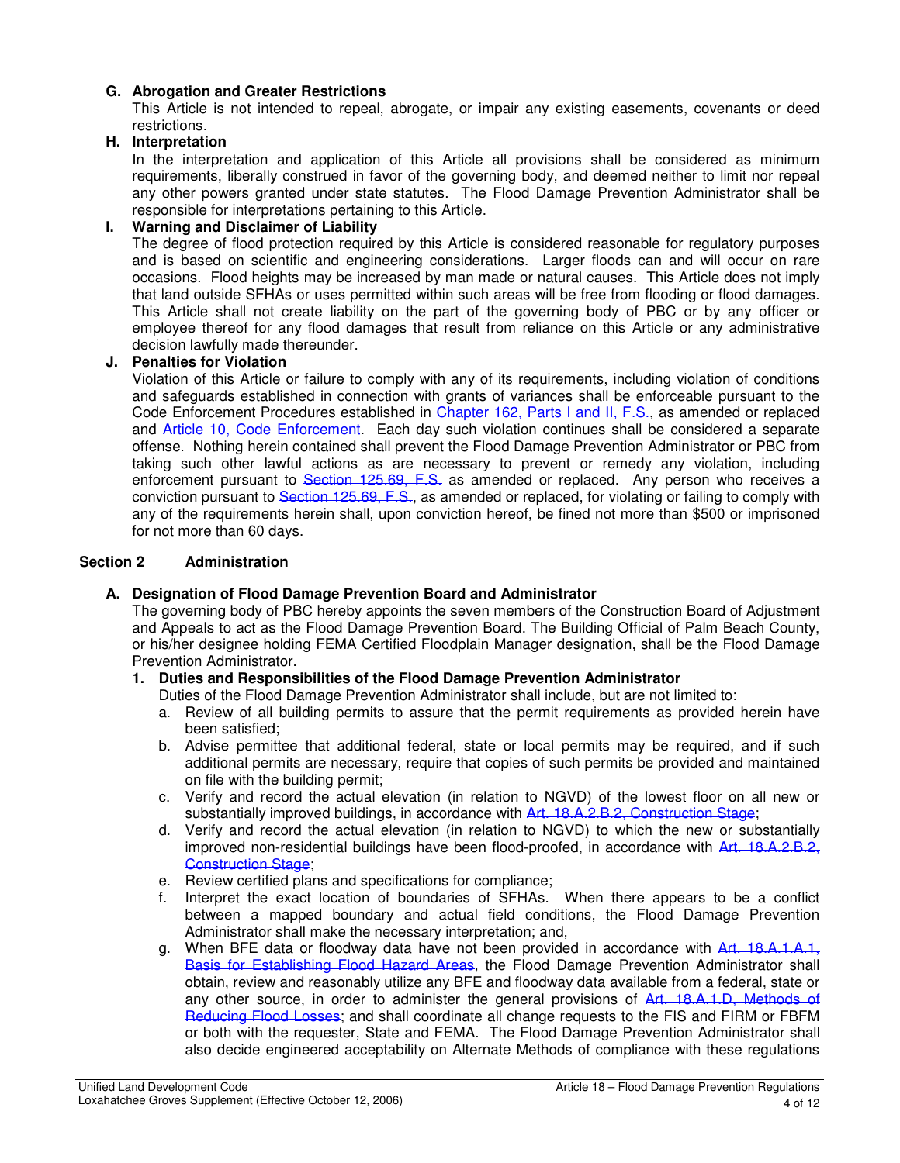## **G. Abrogation and Greater Restrictions**

This Article is not intended to repeal, abrogate, or impair any existing easements, covenants or deed restrictions.

## **H. Interpretation**

In the interpretation and application of this Article all provisions shall be considered as minimum requirements, liberally construed in favor of the governing body, and deemed neither to limit nor repeal any other powers granted under state statutes. The Flood Damage Prevention Administrator shall be responsible for interpretations pertaining to this Article.

## **I. Warning and Disclaimer of Liability**

The degree of flood protection required by this Article is considered reasonable for regulatory purposes and is based on scientific and engineering considerations. Larger floods can and will occur on rare occasions. Flood heights may be increased by man made or natural causes. This Article does not imply that land outside SFHAs or uses permitted within such areas will be free from flooding or flood damages. This Article shall not create liability on the part of the governing body of PBC or by any officer or employee thereof for any flood damages that result from reliance on this Article or any administrative decision lawfully made thereunder.

#### **J. Penalties for Violation**

Violation of this Article or failure to comply with any of its requirements, including violation of conditions and safeguards established in connection with grants of variances shall be enforceable pursuant to the Code Enforcement Procedures established in Chapter 162, Parts I and II, F.S., as amended or replaced and Article 10, Code Enforcement. Each day such violation continues shall be considered a separate offense. Nothing herein contained shall prevent the Flood Damage Prevention Administrator or PBC from taking such other lawful actions as are necessary to prevent or remedy any violation, including enforcement pursuant to Section 125.69, F.S. as amended or replaced. Any person who receives a conviction pursuant to Section 125.69, E.S., as amended or replaced, for violating or failing to comply with any of the requirements herein shall, upon conviction hereof, be fined not more than \$500 or imprisoned for not more than 60 days.

#### **Section 2 Administration**

## **A. Designation of Flood Damage Prevention Board and Administrator**

The governing body of PBC hereby appoints the seven members of the Construction Board of Adjustment and Appeals to act as the Flood Damage Prevention Board. The Building Official of Palm Beach County, or his/her designee holding FEMA Certified Floodplain Manager designation, shall be the Flood Damage Prevention Administrator.

## **1. Duties and Responsibilities of the Flood Damage Prevention Administrator**

- Duties of the Flood Damage Prevention Administrator shall include, but are not limited to:
- a. Review of all building permits to assure that the permit requirements as provided herein have been satisfied;
- b. Advise permittee that additional federal, state or local permits may be required, and if such additional permits are necessary, require that copies of such permits be provided and maintained on file with the building permit;
- c. Verify and record the actual elevation (in relation to NGVD) of the lowest floor on all new or substantially improved buildings, in accordance with Art. 18.A.2.B.2, Construction Stage;
- d. Verify and record the actual elevation (in relation to NGVD) to which the new or substantially improved non-residential buildings have been flood-proofed, in accordance with Art. 18.A.2.B.2, Construction Stage:
- e. Review certified plans and specifications for compliance;<br>f. Interpret the exact location of boundaries of SFHAs.
- Interpret the exact location of boundaries of SFHAs. When there appears to be a conflict between a mapped boundary and actual field conditions, the Flood Damage Prevention Administrator shall make the necessary interpretation; and,
- g. When BFE data or floodway data have not been provided in accordance with Art. 18.A.1.A.1, Basis for Establishing Flood Hazard Areas, the Flood Damage Prevention Administrator shall obtain, review and reasonably utilize any BFE and floodway data available from a federal, state or any other source, in order to administer the general provisions of Art. 18.A.1.D, Methods of Reducing Flood Losses; and shall coordinate all change requests to the FIS and FIRM or FBFM or both with the requester, State and FEMA. The Flood Damage Prevention Administrator shall also decide engineered acceptability on Alternate Methods of compliance with these regulations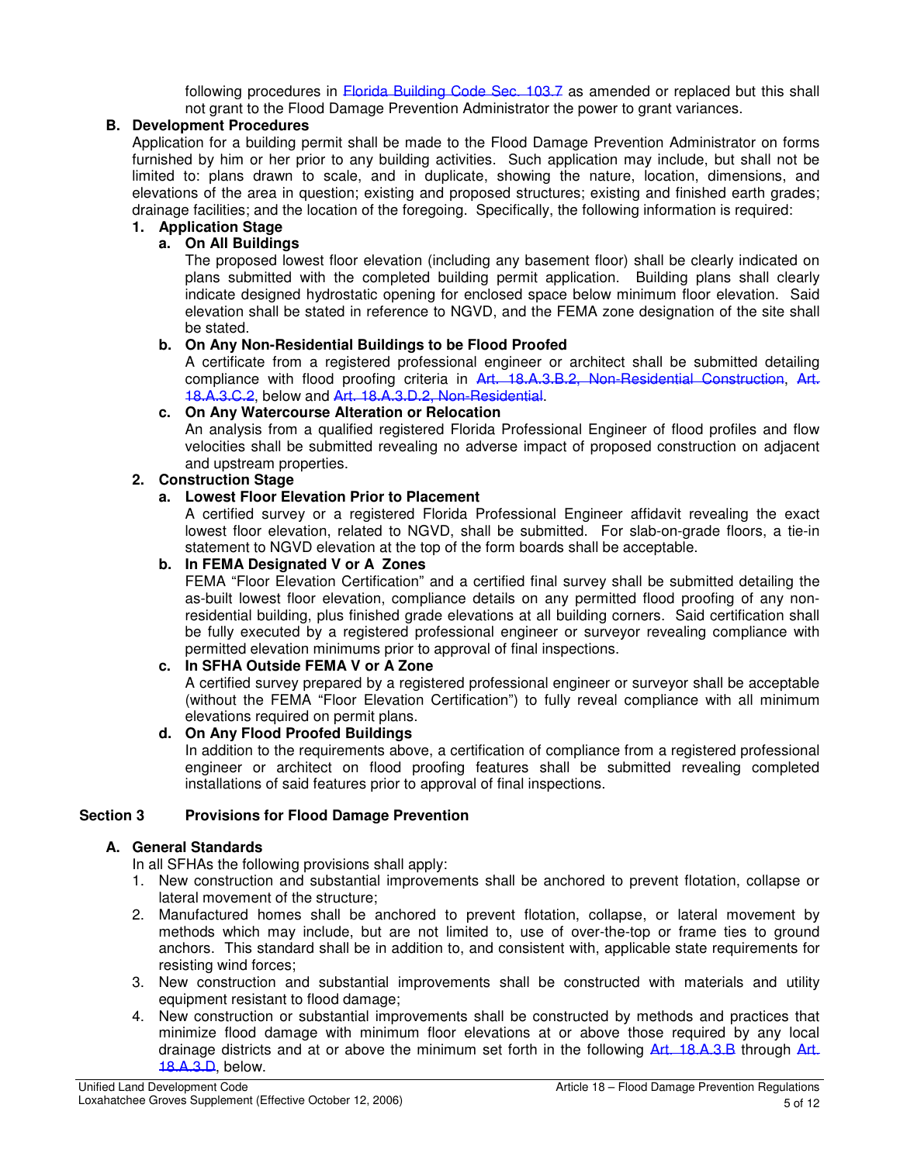following procedures in Elorida Building Code Sec. 103.7 as amended or replaced but this shall not grant to the Flood Damage Prevention Administrator the power to grant variances.

## **B. Development Procedures**

Application for a building permit shall be made to the Flood Damage Prevention Administrator on forms furnished by him or her prior to any building activities. Such application may include, but shall not be limited to: plans drawn to scale, and in duplicate, showing the nature, location, dimensions, and elevations of the area in question; existing and proposed structures; existing and finished earth grades; drainage facilities; and the location of the foregoing. Specifically, the following information is required:

# **1. Application Stage**

# **a. On All Buildings**

The proposed lowest floor elevation (including any basement floor) shall be clearly indicated on plans submitted with the completed building permit application. Building plans shall clearly indicate designed hydrostatic opening for enclosed space below minimum floor elevation. Said elevation shall be stated in reference to NGVD, and the FEMA zone designation of the site shall be stated.

## **b. On Any Non-Residential Buildings to be Flood Proofed**

A certificate from a registered professional engineer or architect shall be submitted detailing compliance with flood proofing criteria in Art. 18.A.3.B.2, Non-Residential Construction, Art. 18.A.3.C.2, below and Art. 18.A.3.D.2, Non-Residential.

# **c. On Any Watercourse Alteration or Relocation**

An analysis from a qualified registered Florida Professional Engineer of flood profiles and flow velocities shall be submitted revealing no adverse impact of proposed construction on adjacent and upstream properties.

# **2. Construction Stage**

# **a. Lowest Floor Elevation Prior to Placement**

A certified survey or a registered Florida Professional Engineer affidavit revealing the exact lowest floor elevation, related to NGVD, shall be submitted. For slab-on-grade floors, a tie-in statement to NGVD elevation at the top of the form boards shall be acceptable.

# **b. In FEMA Designated V or A Zones**

FEMA "Floor Elevation Certification" and a certified final survey shall be submitted detailing the as-built lowest floor elevation, compliance details on any permitted flood proofing of any nonresidential building, plus finished grade elevations at all building corners. Said certification shall be fully executed by a registered professional engineer or surveyor revealing compliance with permitted elevation minimums prior to approval of final inspections.

## **c. In SFHA Outside FEMA V or A Zone**

A certified survey prepared by a registered professional engineer or surveyor shall be acceptable (without the FEMA "Floor Elevation Certification") to fully reveal compliance with all minimum elevations required on permit plans.

## **d. On Any Flood Proofed Buildings**

In addition to the requirements above, a certification of compliance from a registered professional engineer or architect on flood proofing features shall be submitted revealing completed installations of said features prior to approval of final inspections.

## **Section 3 Provisions for Flood Damage Prevention**

## **A. General Standards**

In all SFHAs the following provisions shall apply:

- 1. New construction and substantial improvements shall be anchored to prevent flotation, collapse or lateral movement of the structure;
- 2. Manufactured homes shall be anchored to prevent flotation, collapse, or lateral movement by methods which may include, but are not limited to, use of over-the-top or frame ties to ground anchors. This standard shall be in addition to, and consistent with, applicable state requirements for resisting wind forces;
- 3. New construction and substantial improvements shall be constructed with materials and utility equipment resistant to flood damage;
- 4. New construction or substantial improvements shall be constructed by methods and practices that minimize flood damage with minimum floor elevations at or above those required by any local drainage districts and at or above the minimum set forth in the following Art. 18.A.3.B through Art. 18.A.3.D, below.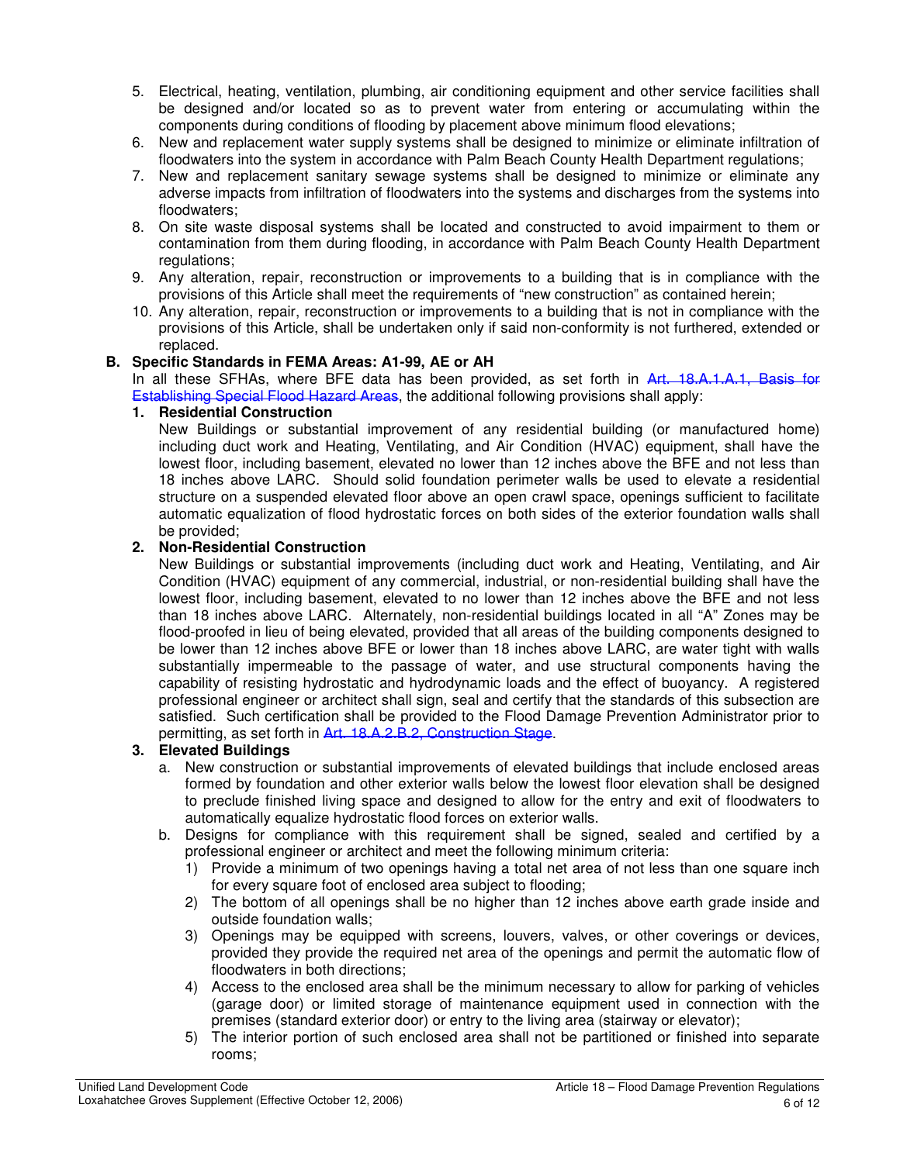- 5. Electrical, heating, ventilation, plumbing, air conditioning equipment and other service facilities shall be designed and/or located so as to prevent water from entering or accumulating within the components during conditions of flooding by placement above minimum flood elevations;
- 6. New and replacement water supply systems shall be designed to minimize or eliminate infiltration of floodwaters into the system in accordance with Palm Beach County Health Department regulations;
- 7. New and replacement sanitary sewage systems shall be designed to minimize or eliminate any adverse impacts from infiltration of floodwaters into the systems and discharges from the systems into floodwaters;
- 8. On site waste disposal systems shall be located and constructed to avoid impairment to them or contamination from them during flooding, in accordance with Palm Beach County Health Department regulations:
- 9. Any alteration, repair, reconstruction or improvements to a building that is in compliance with the provisions of this Article shall meet the requirements of "new construction" as contained herein;
- 10. Any alteration, repair, reconstruction or improvements to a building that is not in compliance with the provisions of this Article, shall be undertaken only if said non-conformity is not furthered, extended or replaced.

## **B. Specific Standards in FEMA Areas: A1-99, AE or AH**

In all these SFHAs, where BFE data has been provided, as set forth in Art. 18.A.1.A.1, Basis for Establishing Special Flood Hazard Areas, the additional following provisions shall apply:

#### **1. Residential Construction**

New Buildings or substantial improvement of any residential building (or manufactured home) including duct work and Heating, Ventilating, and Air Condition (HVAC) equipment, shall have the lowest floor, including basement, elevated no lower than 12 inches above the BFE and not less than 18 inches above LARC. Should solid foundation perimeter walls be used to elevate a residential structure on a suspended elevated floor above an open crawl space, openings sufficient to facilitate automatic equalization of flood hydrostatic forces on both sides of the exterior foundation walls shall be provided;

#### **2. Non-Residential Construction**

New Buildings or substantial improvements (including duct work and Heating, Ventilating, and Air Condition (HVAC) equipment of any commercial, industrial, or non-residential building shall have the lowest floor, including basement, elevated to no lower than 12 inches above the BFE and not less than 18 inches above LARC. Alternately, non-residential buildings located in all "A" Zones may be flood-proofed in lieu of being elevated, provided that all areas of the building components designed to be lower than 12 inches above BFE or lower than 18 inches above LARC, are water tight with walls substantially impermeable to the passage of water, and use structural components having the capability of resisting hydrostatic and hydrodynamic loads and the effect of buoyancy. A registered professional engineer or architect shall sign, seal and certify that the standards of this subsection are satisfied. Such certification shall be provided to the Flood Damage Prevention Administrator prior to permitting, as set forth in Art. 18.A.2.B.2, Construction Stage.

## **3. Elevated Buildings**

- a. New construction or substantial improvements of elevated buildings that include enclosed areas formed by foundation and other exterior walls below the lowest floor elevation shall be designed to preclude finished living space and designed to allow for the entry and exit of floodwaters to automatically equalize hydrostatic flood forces on exterior walls.
- b. Designs for compliance with this requirement shall be signed, sealed and certified by a professional engineer or architect and meet the following minimum criteria:
	- 1) Provide a minimum of two openings having a total net area of not less than one square inch for every square foot of enclosed area subject to flooding;
	- 2) The bottom of all openings shall be no higher than 12 inches above earth grade inside and outside foundation walls;
	- 3) Openings may be equipped with screens, louvers, valves, or other coverings or devices, provided they provide the required net area of the openings and permit the automatic flow of floodwaters in both directions;
	- 4) Access to the enclosed area shall be the minimum necessary to allow for parking of vehicles (garage door) or limited storage of maintenance equipment used in connection with the premises (standard exterior door) or entry to the living area (stairway or elevator);
	- 5) The interior portion of such enclosed area shall not be partitioned or finished into separate rooms;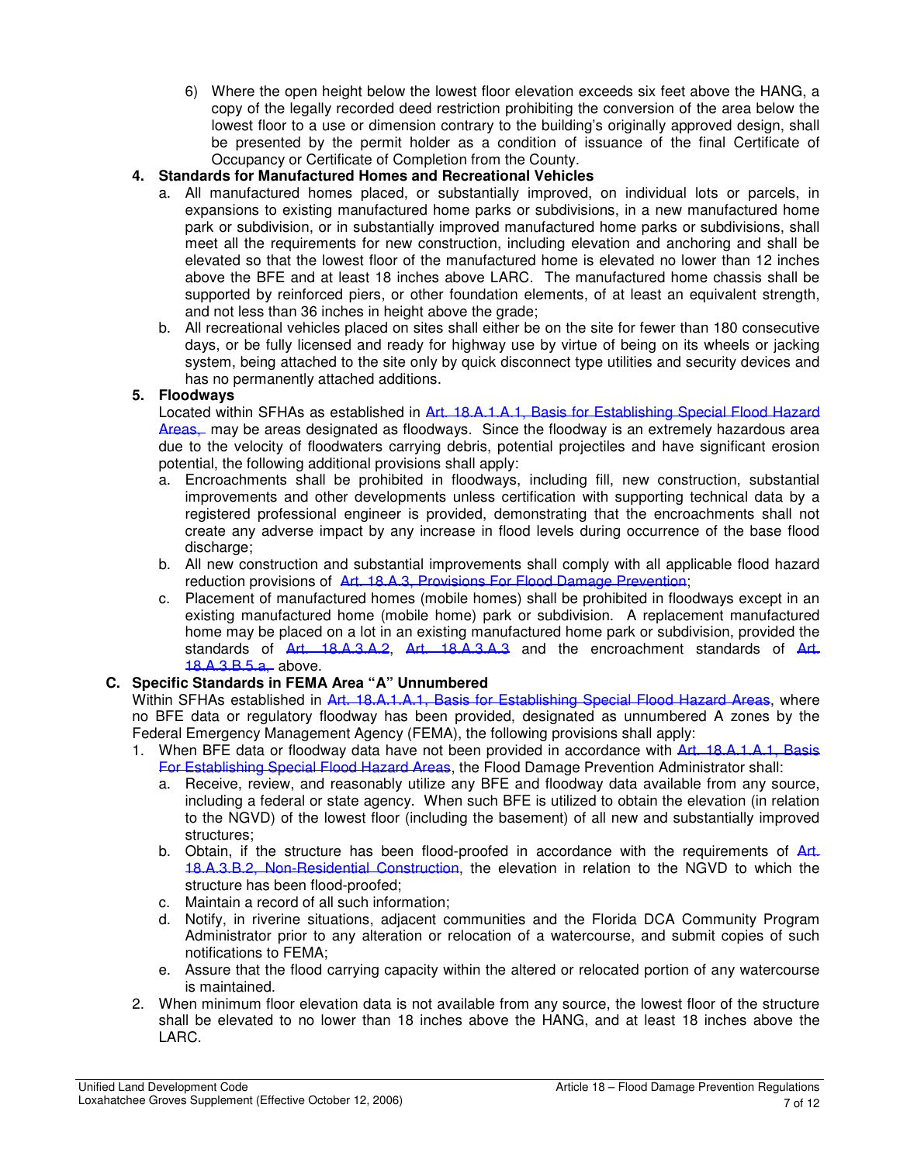6) Where the open height below the lowest floor elevation exceeds six feet above the HANG, a copy of the legally recorded deed restriction prohibiting the conversion of the area below the lowest floor to a use or dimension contrary to the building's originally approved design, shall be presented by the permit holder as a condition of issuance of the final Certificate of Occupancy or Certificate of Completion from the County.

# **4. Standards for Manufactured Homes and Recreational Vehicles**

- a. All manufactured homes placed, or substantially improved, on individual lots or parcels, in expansions to existing manufactured home parks or subdivisions, in a new manufactured home park or subdivision, or in substantially improved manufactured home parks or subdivisions, shall meet all the requirements for new construction, including elevation and anchoring and shall be elevated so that the lowest floor of the manufactured home is elevated no lower than 12 inches above the BFE and at least 18 inches above LARC. The manufactured home chassis shall be supported by reinforced piers, or other foundation elements, of at least an equivalent strength, and not less than 36 inches in height above the grade;
- b. All recreational vehicles placed on sites shall either be on the site for fewer than 180 consecutive days, or be fully licensed and ready for highway use by virtue of being on its wheels or jacking system, being attached to the site only by quick disconnect type utilities and security devices and has no permanently attached additions.

# **5. Floodways**

Located within SFHAs as established in Art. 18.A.1.A.1, Basis for Establishing Special Flood Hazard Areas, may be areas designated as floodways. Since the floodway is an extremely hazardous area due to the velocity of floodwaters carrying debris, potential projectiles and have significant erosion potential, the following additional provisions shall apply:

- a. Encroachments shall be prohibited in floodways, including fill, new construction, substantial improvements and other developments unless certification with supporting technical data by a registered professional engineer is provided, demonstrating that the encroachments shall not create any adverse impact by any increase in flood levels during occurrence of the base flood discharge:
- b. All new construction and substantial improvements shall comply with all applicable flood hazard reduction provisions of Art. 18.A.3, Provisions For Flood Damage Prevention;
- c. Placement of manufactured homes (mobile homes) shall be prohibited in floodways except in an existing manufactured home (mobile home) park or subdivision. A replacement manufactured home may be placed on a lot in an existing manufactured home park or subdivision, provided the standards of Art. 18.A.3.A.2, Art. 18.A.3.A.3 and the encroachment standards of Art. 18.A.3.B.5.a, above.

## **C. Specific Standards in FEMA Area "A" Unnumbered**

Within SFHAs established in Art. 18.A.1.A.1, Basis for Establishing Special Flood Hazard Areas, where no BFE data or regulatory floodway has been provided, designated as unnumbered A zones by the Federal Emergency Management Agency (FEMA), the following provisions shall apply:

- 1. When BFE data or floodway data have not been provided in accordance with Art. 18.A.1.A.1, Basis For Establishing Special Flood Hazard Areas, the Flood Damage Prevention Administrator shall:
	- a. Receive, review, and reasonably utilize any BFE and floodway data available from any source, including a federal or state agency. When such BFE is utilized to obtain the elevation (in relation to the NGVD) of the lowest floor (including the basement) of all new and substantially improved structures;
	- b. Obtain, if the structure has been flood-proofed in accordance with the requirements of Art. 18.A.3.B.2, Non-Residential Construction, the elevation in relation to the NGVD to which the structure has been flood-proofed;
	- c. Maintain a record of all such information;
	- d. Notify, in riverine situations, adjacent communities and the Florida DCA Community Program Administrator prior to any alteration or relocation of a watercourse, and submit copies of such notifications to FEMA;
	- e. Assure that the flood carrying capacity within the altered or relocated portion of any watercourse is maintained.
- 2. When minimum floor elevation data is not available from any source, the lowest floor of the structure shall be elevated to no lower than 18 inches above the HANG, and at least 18 inches above the LARC.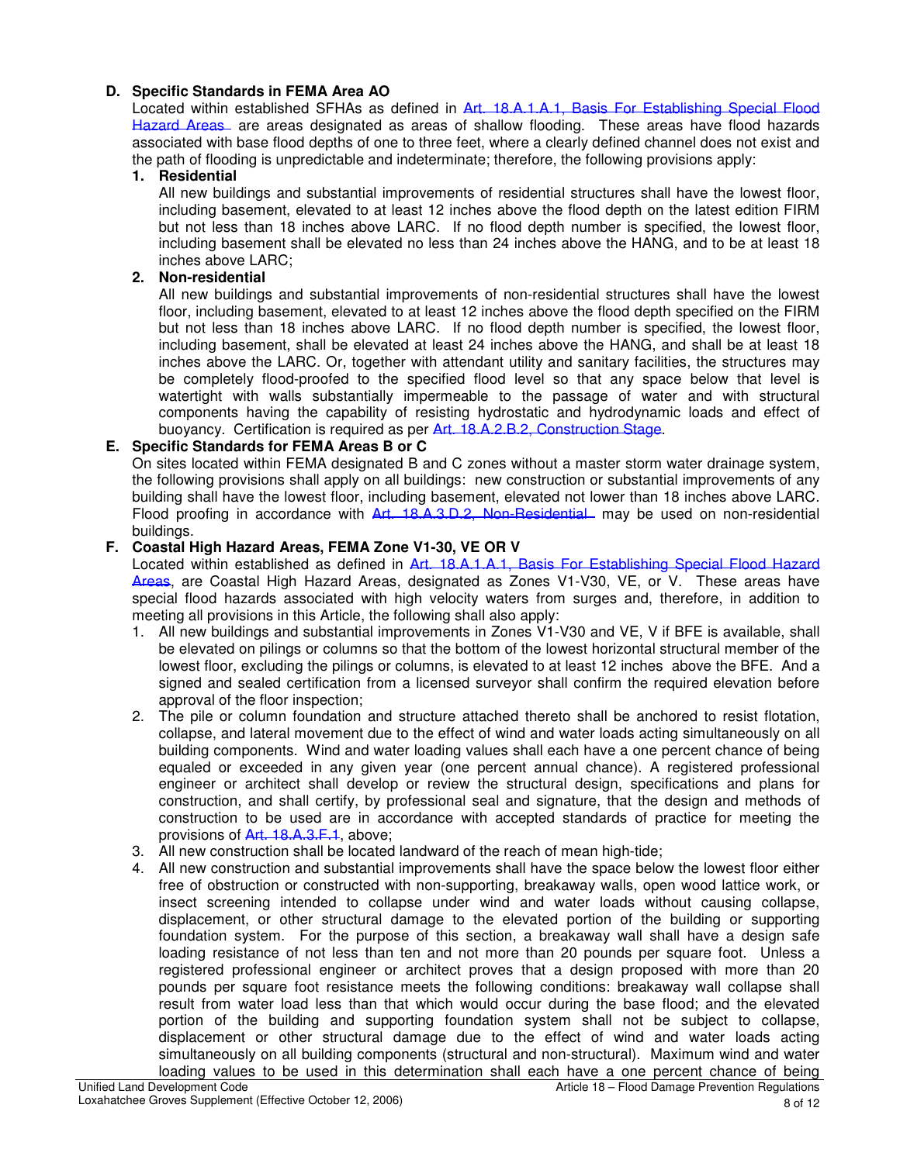# **D. Specific Standards in FEMA Area AO**

Located within established SFHAs as defined in Art. 18.A.1.A.1, Basis For Establishing Special Flood Hazard Areas are areas designated as areas of shallow flooding. These areas have flood hazards associated with base flood depths of one to three feet, where a clearly defined channel does not exist and the path of flooding is unpredictable and indeterminate; therefore, the following provisions apply:

#### **1. Residential**

All new buildings and substantial improvements of residential structures shall have the lowest floor, including basement, elevated to at least 12 inches above the flood depth on the latest edition FIRM but not less than 18 inches above LARC. If no flood depth number is specified, the lowest floor, including basement shall be elevated no less than 24 inches above the HANG, and to be at least 18 inches above LARC;

#### **2. Non-residential**

All new buildings and substantial improvements of non-residential structures shall have the lowest floor, including basement, elevated to at least 12 inches above the flood depth specified on the FIRM but not less than 18 inches above LARC. If no flood depth number is specified, the lowest floor, including basement, shall be elevated at least 24 inches above the HANG, and shall be at least 18 inches above the LARC. Or, together with attendant utility and sanitary facilities, the structures may be completely flood-proofed to the specified flood level so that any space below that level is watertight with walls substantially impermeable to the passage of water and with structural components having the capability of resisting hydrostatic and hydrodynamic loads and effect of buoyancy. Certification is required as per Art. 18.A.2.B.2, Construction Stage.

## **E. Specific Standards for FEMA Areas B or C**

On sites located within FEMA designated B and C zones without a master storm water drainage system, the following provisions shall apply on all buildings: new construction or substantial improvements of any building shall have the lowest floor, including basement, elevated not lower than 18 inches above LARC. Flood proofing in accordance with Art. 18.A.3.D.2, Non-Residential may be used on non-residential buildings.

#### **F. Coastal High Hazard Areas, FEMA Zone V1-30, VE OR V**

Located within established as defined in Art. 18.A.1.A.1, Basis For Establishing Special Flood Hazard Areas, are Coastal High Hazard Areas, designated as Zones V1-V30, VE, or V. These areas have special flood hazards associated with high velocity waters from surges and, therefore, in addition to meeting all provisions in this Article, the following shall also apply:

- 1. All new buildings and substantial improvements in Zones V1-V30 and VE, V if BFE is available, shall be elevated on pilings or columns so that the bottom of the lowest horizontal structural member of the lowest floor, excluding the pilings or columns, is elevated to at least 12 inches above the BFE. And a signed and sealed certification from a licensed surveyor shall confirm the required elevation before approval of the floor inspection;
- 2. The pile or column foundation and structure attached thereto shall be anchored to resist flotation, collapse, and lateral movement due to the effect of wind and water loads acting simultaneously on all building components. Wind and water loading values shall each have a one percent chance of being equaled or exceeded in any given year (one percent annual chance). A registered professional engineer or architect shall develop or review the structural design, specifications and plans for construction, and shall certify, by professional seal and signature, that the design and methods of construction to be used are in accordance with accepted standards of practice for meeting the provisions of Art. 18.A.3.F.1, above;
- 3. All new construction shall be located landward of the reach of mean high-tide;
- 4. All new construction and substantial improvements shall have the space below the lowest floor either free of obstruction or constructed with non-supporting, breakaway walls, open wood lattice work, or insect screening intended to collapse under wind and water loads without causing collapse, displacement, or other structural damage to the elevated portion of the building or supporting foundation system. For the purpose of this section, a breakaway wall shall have a design safe loading resistance of not less than ten and not more than 20 pounds per square foot. Unless a registered professional engineer or architect proves that a design proposed with more than 20 pounds per square foot resistance meets the following conditions: breakaway wall collapse shall result from water load less than that which would occur during the base flood; and the elevated portion of the building and supporting foundation system shall not be subject to collapse, displacement or other structural damage due to the effect of wind and water loads acting simultaneously on all building components (structural and non-structural). Maximum wind and water loading values to be used in this determination shall each have a one percent chance of being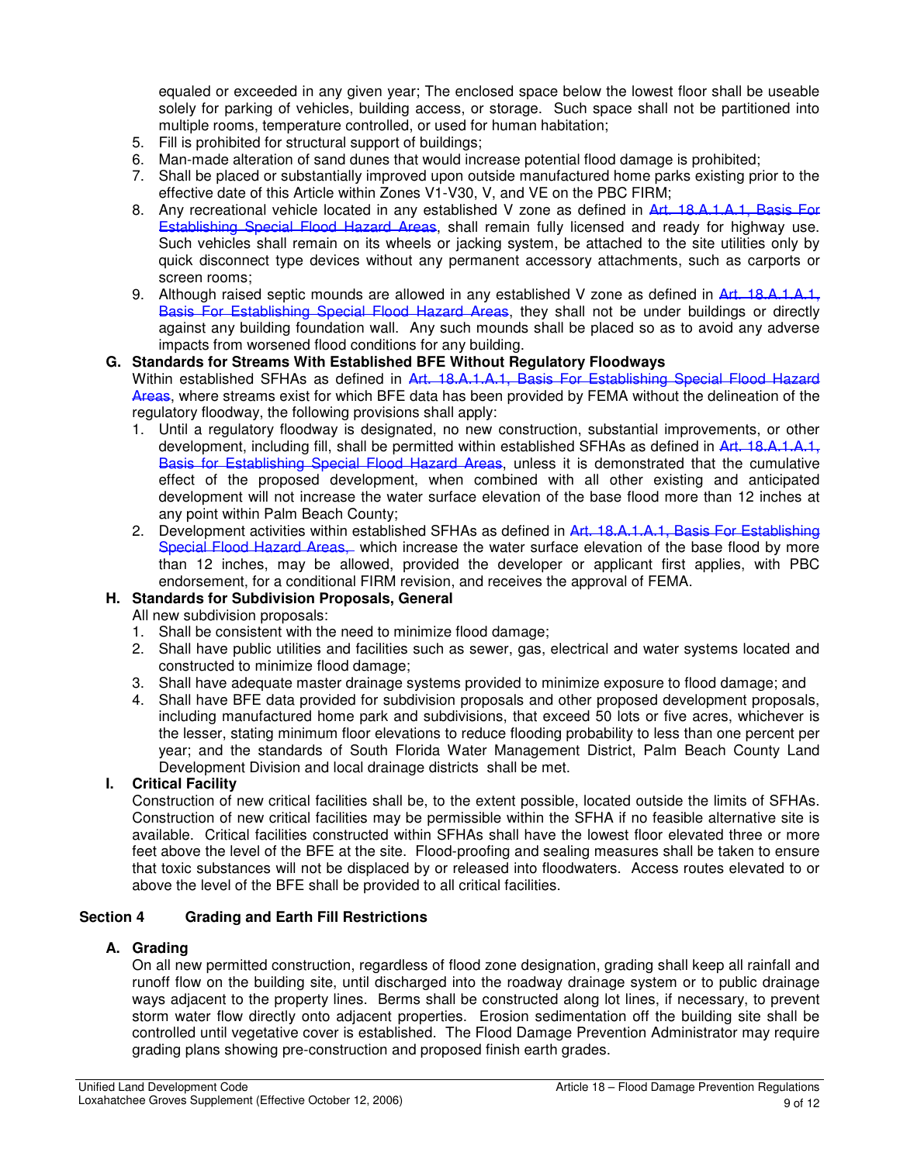equaled or exceeded in any given year; The enclosed space below the lowest floor shall be useable solely for parking of vehicles, building access, or storage. Such space shall not be partitioned into multiple rooms, temperature controlled, or used for human habitation;

- 5. Fill is prohibited for structural support of buildings;
- 6. Man-made alteration of sand dunes that would increase potential flood damage is prohibited;
- 7. Shall be placed or substantially improved upon outside manufactured home parks existing prior to the effective date of this Article within Zones V1-V30, V, and VE on the PBC FIRM;
- 8. Any recreational vehicle located in any established V zone as defined in Art. 18.A.1.A.1, Basis For Establishing Special Flood Hazard Areas, shall remain fully licensed and ready for highway use. Such vehicles shall remain on its wheels or jacking system, be attached to the site utilities only by quick disconnect type devices without any permanent accessory attachments, such as carports or screen rooms;
- 9. Although raised septic mounds are allowed in any established V zone as defined in Art. 18.A.1.A.1, Basis For Establishing Special Flood Hazard Areas, they shall not be under buildings or directly against any building foundation wall. Any such mounds shall be placed so as to avoid any adverse impacts from worsened flood conditions for any building.

#### **G. Standards for Streams With Established BFE Without Regulatory Floodways**

Within established SFHAs as defined in Art. 18.A.1.A.1, Basis For Establishing Special Flood Hazard Areas, where streams exist for which BFE data has been provided by FEMA without the delineation of the regulatory floodway, the following provisions shall apply:

- 1. Until a regulatory floodway is designated, no new construction, substantial improvements, or other development, including fill, shall be permitted within established SFHAs as defined in Art. 18.A.1.A.1, Basis for Establishing Special Flood Hazard Areas, unless it is demonstrated that the cumulative effect of the proposed development, when combined with all other existing and anticipated development will not increase the water surface elevation of the base flood more than 12 inches at any point within Palm Beach County;
- 2. Development activities within established SFHAs as defined in Art. 18.A.1.A.1, Basis For Establishing Special Flood Hazard Areas, which increase the water surface elevation of the base flood by more than 12 inches, may be allowed, provided the developer or applicant first applies, with PBC endorsement, for a conditional FIRM revision, and receives the approval of FEMA.

## **H. Standards for Subdivision Proposals, General**

All new subdivision proposals:

- 1. Shall be consistent with the need to minimize flood damage;
- 2. Shall have public utilities and facilities such as sewer, gas, electrical and water systems located and constructed to minimize flood damage;
- 3. Shall have adequate master drainage systems provided to minimize exposure to flood damage; and
- 4. Shall have BFE data provided for subdivision proposals and other proposed development proposals, including manufactured home park and subdivisions, that exceed 50 lots or five acres, whichever is the lesser, stating minimum floor elevations to reduce flooding probability to less than one percent per year; and the standards of South Florida Water Management District, Palm Beach County Land Development Division and local drainage districts shall be met.

## **I. Critical Facility**

Construction of new critical facilities shall be, to the extent possible, located outside the limits of SFHAs. Construction of new critical facilities may be permissible within the SFHA if no feasible alternative site is available. Critical facilities constructed within SFHAs shall have the lowest floor elevated three or more feet above the level of the BFE at the site. Flood-proofing and sealing measures shall be taken to ensure that toxic substances will not be displaced by or released into floodwaters. Access routes elevated to or above the level of the BFE shall be provided to all critical facilities.

#### **Section 4 Grading and Earth Fill Restrictions**

#### **A. Grading**

On all new permitted construction, regardless of flood zone designation, grading shall keep all rainfall and runoff flow on the building site, until discharged into the roadway drainage system or to public drainage ways adjacent to the property lines. Berms shall be constructed along lot lines, if necessary, to prevent storm water flow directly onto adjacent properties. Erosion sedimentation off the building site shall be controlled until vegetative cover is established. The Flood Damage Prevention Administrator may require grading plans showing pre-construction and proposed finish earth grades.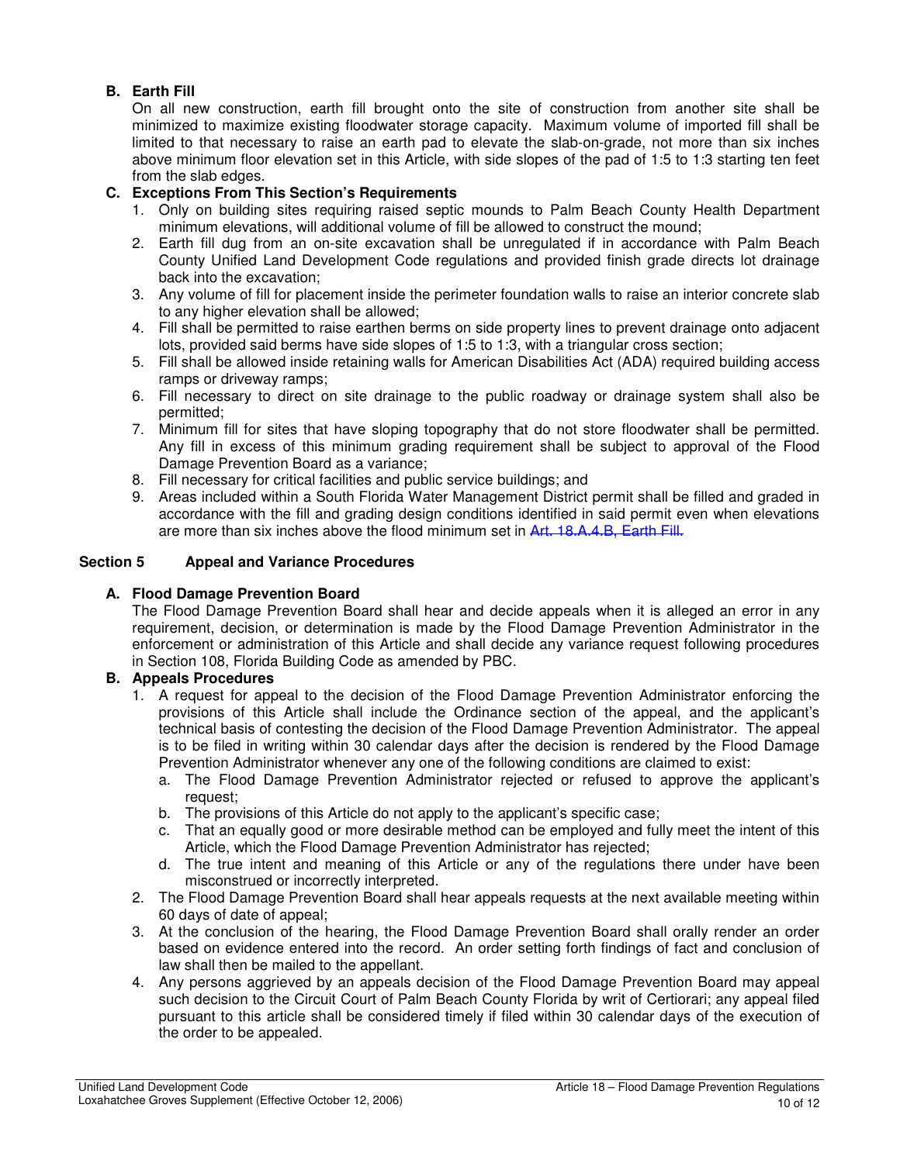# **B. Earth Fill**

On all new construction, earth fill brought onto the site of construction from another site shall be minimized to maximize existing floodwater storage capacity. Maximum volume of imported fill shall be limited to that necessary to raise an earth pad to elevate the slab-on-grade, not more than six inches above minimum floor elevation set in this Article, with side slopes of the pad of 1:5 to 1:3 starting ten feet from the slab edges.

# **C. Exceptions From This Section's Requirements**

- 1. Only on building sites requiring raised septic mounds to Palm Beach County Health Department minimum elevations, will additional volume of fill be allowed to construct the mound;
- 2. Earth fill dug from an on-site excavation shall be unregulated if in accordance with Palm Beach County Unified Land Development Code regulations and provided finish grade directs lot drainage back into the excavation;
- 3. Any volume of fill for placement inside the perimeter foundation walls to raise an interior concrete slab to any higher elevation shall be allowed;
- 4. Fill shall be permitted to raise earthen berms on side property lines to prevent drainage onto adjacent lots, provided said berms have side slopes of 1:5 to 1:3, with a triangular cross section;
- 5. Fill shall be allowed inside retaining walls for American Disabilities Act (ADA) required building access ramps or driveway ramps;
- 6. Fill necessary to direct on site drainage to the public roadway or drainage system shall also be permitted;
- 7. Minimum fill for sites that have sloping topography that do not store floodwater shall be permitted. Any fill in excess of this minimum grading requirement shall be subject to approval of the Flood Damage Prevention Board as a variance;
- 8. Fill necessary for critical facilities and public service buildings; and
- 9. Areas included within a South Florida Water Management District permit shall be filled and graded in accordance with the fill and grading design conditions identified in said permit even when elevations are more than six inches above the flood minimum set in Art. 18.A.4.B, Earth Fill.

## **Section 5 Appeal and Variance Procedures**

# **A. Flood Damage Prevention Board**

The Flood Damage Prevention Board shall hear and decide appeals when it is alleged an error in any requirement, decision, or determination is made by the Flood Damage Prevention Administrator in the enforcement or administration of this Article and shall decide any variance request following procedures in Section 108, Florida Building Code as amended by PBC.

## **B. Appeals Procedures**

- 1. A request for appeal to the decision of the Flood Damage Prevention Administrator enforcing the provisions of this Article shall include the Ordinance section of the appeal, and the applicant's technical basis of contesting the decision of the Flood Damage Prevention Administrator. The appeal is to be filed in writing within 30 calendar days after the decision is rendered by the Flood Damage Prevention Administrator whenever any one of the following conditions are claimed to exist:
	- a. The Flood Damage Prevention Administrator rejected or refused to approve the applicant's request;
	- b. The provisions of this Article do not apply to the applicant's specific case;
	- c. That an equally good or more desirable method can be employed and fully meet the intent of this Article, which the Flood Damage Prevention Administrator has rejected;
	- d. The true intent and meaning of this Article or any of the regulations there under have been misconstrued or incorrectly interpreted.
- 2. The Flood Damage Prevention Board shall hear appeals requests at the next available meeting within 60 days of date of appeal;
- 3. At the conclusion of the hearing, the Flood Damage Prevention Board shall orally render an order based on evidence entered into the record. An order setting forth findings of fact and conclusion of law shall then be mailed to the appellant.
- 4. Any persons aggrieved by an appeals decision of the Flood Damage Prevention Board may appeal such decision to the Circuit Court of Palm Beach County Florida by writ of Certiorari; any appeal filed pursuant to this article shall be considered timely if filed within 30 calendar days of the execution of the order to be appealed.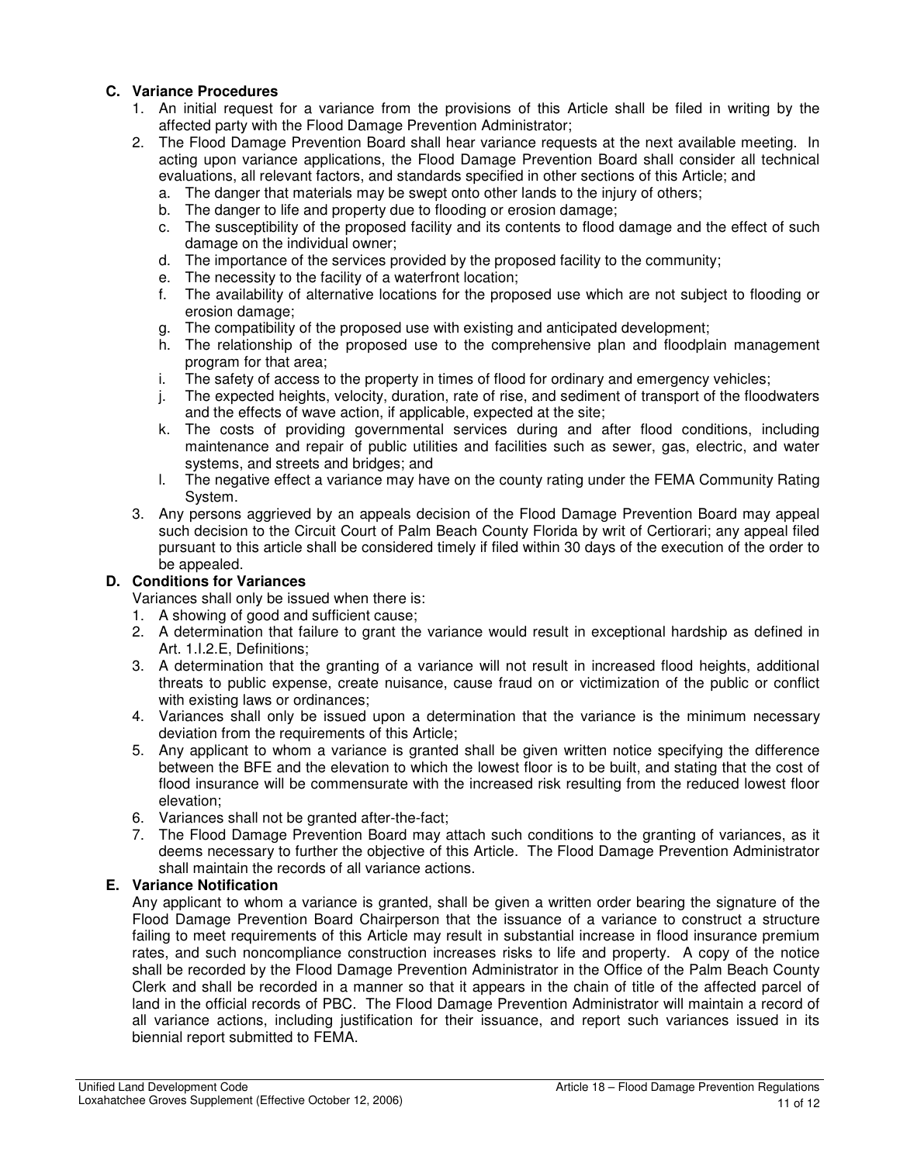# **C. Variance Procedures**

- 1. An initial request for a variance from the provisions of this Article shall be filed in writing by the affected party with the Flood Damage Prevention Administrator;
- 2. The Flood Damage Prevention Board shall hear variance requests at the next available meeting. In acting upon variance applications, the Flood Damage Prevention Board shall consider all technical evaluations, all relevant factors, and standards specified in other sections of this Article; and
	- a. The danger that materials may be swept onto other lands to the injury of others;
	- b. The danger to life and property due to flooding or erosion damage;
	- c. The susceptibility of the proposed facility and its contents to flood damage and the effect of such damage on the individual owner;
	- d. The importance of the services provided by the proposed facility to the community;
	- e. The necessity to the facility of a waterfront location;
	- f. The availability of alternative locations for the proposed use which are not subject to flooding or erosion damage;
	- g. The compatibility of the proposed use with existing and anticipated development;
	- h. The relationship of the proposed use to the comprehensive plan and floodplain management program for that area;
	- i. The safety of access to the property in times of flood for ordinary and emergency vehicles;
	- j. The expected heights, velocity, duration, rate of rise, and sediment of transport of the floodwaters and the effects of wave action, if applicable, expected at the site;
	- k. The costs of providing governmental services during and after flood conditions, including maintenance and repair of public utilities and facilities such as sewer, gas, electric, and water systems, and streets and bridges; and
	- l. The negative effect a variance may have on the county rating under the FEMA Community Rating System.
- 3. Any persons aggrieved by an appeals decision of the Flood Damage Prevention Board may appeal such decision to the Circuit Court of Palm Beach County Florida by writ of Certiorari; any appeal filed pursuant to this article shall be considered timely if filed within 30 days of the execution of the order to be appealed.

# **D. Conditions for Variances**

Variances shall only be issued when there is:

- 1. A showing of good and sufficient cause;
- 2. A determination that failure to grant the variance would result in exceptional hardship as defined in Art. 1.I.2.E, Definitions;
- 3. A determination that the granting of a variance will not result in increased flood heights, additional threats to public expense, create nuisance, cause fraud on or victimization of the public or conflict with existing laws or ordinances;
- 4. Variances shall only be issued upon a determination that the variance is the minimum necessary deviation from the requirements of this Article;
- 5. Any applicant to whom a variance is granted shall be given written notice specifying the difference between the BFE and the elevation to which the lowest floor is to be built, and stating that the cost of flood insurance will be commensurate with the increased risk resulting from the reduced lowest floor elevation;
- 6. Variances shall not be granted after-the-fact;
- 7. The Flood Damage Prevention Board may attach such conditions to the granting of variances, as it deems necessary to further the objective of this Article. The Flood Damage Prevention Administrator shall maintain the records of all variance actions.

## **E. Variance Notification**

Any applicant to whom a variance is granted, shall be given a written order bearing the signature of the Flood Damage Prevention Board Chairperson that the issuance of a variance to construct a structure failing to meet requirements of this Article may result in substantial increase in flood insurance premium rates, and such noncompliance construction increases risks to life and property. A copy of the notice shall be recorded by the Flood Damage Prevention Administrator in the Office of the Palm Beach County Clerk and shall be recorded in a manner so that it appears in the chain of title of the affected parcel of land in the official records of PBC. The Flood Damage Prevention Administrator will maintain a record of all variance actions, including justification for their issuance, and report such variances issued in its biennial report submitted to FEMA.